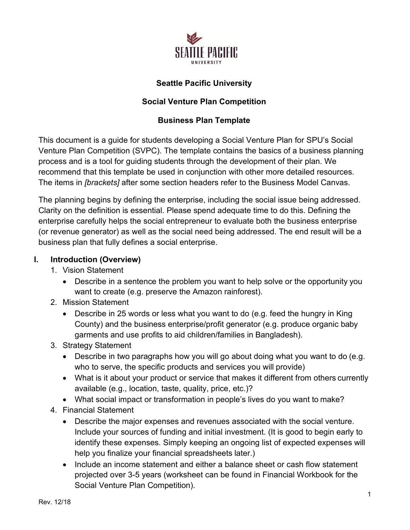

## **Seattle Pacific University**

## **Social Venture Plan Competition**

### **Business Plan Template**

This document is a guide for students developing a Social Venture Plan for SPU's Social Venture Plan Competition (SVPC). The template contains the basics of a business planning process and is a tool for guiding students through the development of their plan. We recommend that this template be used in conjunction with other more detailed resources. The items in *[brackets]* after some section headers refer to the Business Model Canvas.

The planning begins by defining the enterprise, including the social issue being addressed. Clarity on the definition is essential. Please spend adequate time to do this. Defining the enterprise carefully helps the social entrepreneur to evaluate both the business enterprise (or revenue generator) as well as the social need being addressed. The end result will be a business plan that fully defines a social enterprise.

#### **I. Introduction (Overview)**

- 1. Vision Statement
	- Describe in a sentence the problem you want to help solve or the opportunity you want to create (e.g. preserve the Amazon rainforest).
- 2. Mission Statement
	- Describe in 25 words or less what you want to do (e.g. feed the hungry in King County) and the business enterprise/profit generator (e.g. produce organic baby garments and use profits to aid children/families in Bangladesh).
- 3. Strategy Statement
	- Describe in two paragraphs how you will go about doing what you want to do (e.g. who to serve, the specific products and services you will provide)
	- What is it about your product or service that makes it different from others currently available (e.g., location, taste, quality, price, etc.)?
	- What social impact or transformation in people's lives do you want to make?
- 4. Financial Statement
	- Describe the major expenses and revenues associated with the social venture. Include your sources of funding and initial investment. (It is good to begin early to identify these expenses. Simply keeping an ongoing list of expected expenses will help you finalize your financial spreadsheets later.)
	- Include an income statement and either a balance sheet or cash flow statement projected over 3-5 years (worksheet can be found in Financial Workbook for the Social Venture Plan Competition).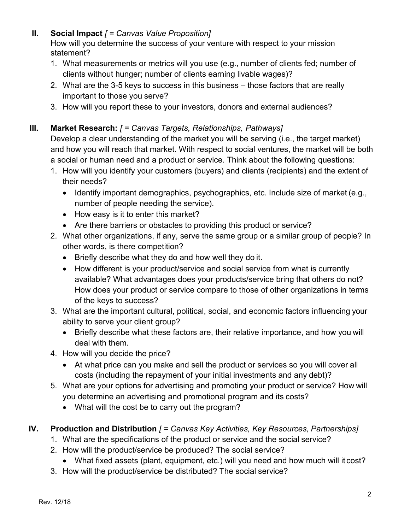## **II. Social Impact** *[ = Canvas Value Proposition]*

How will you determine the success of your venture with respect to your mission statement?

- 1. What measurements or metrics will you use (e.g., number of clients fed; number of clients without hunger; number of clients earning livable wages)?
- 2. What are the 3-5 keys to success in this business those factors that are really important to those you serve?
- 3. How will you report these to your investors, donors and external audiences?

# **III. Market Research:** *[ = Canvas Targets, Relationships, Pathways]*

Develop a clear understanding of the market you will be serving (i.e., the target market) and how you will reach that market. With respect to social ventures, the market will be both a social or human need and a product or service. Think about the following questions:

- 1. How will you identify your customers (buyers) and clients (recipients) and the extent of their needs?
	- Identify important demographics, psychographics, etc. Include size of market (e.g., number of people needing the service).
	- How easy is it to enter this market?
	- Are there barriers or obstacles to providing this product or service?
- 2. What other organizations, if any, serve the same group or a similar group of people? In other words, is there competition?
	- Briefly describe what they do and how well they do it.
	- How different is your product/service and social service from what is currently available? What advantages does your products/service bring that others do not? How does your product or service compare to those of other organizations in terms of the keys to success?
- 3. What are the important cultural, political, social, and economic factors influencing your ability to serve your client group?
	- Briefly describe what these factors are, their relative importance, and how you will deal with them.
- 4. How will you decide the price?
	- At what price can you make and sell the product or services so you will cover all costs (including the repayment of your initial investments and any debt)?
- 5. What are your options for advertising and promoting your product or service? How will you determine an advertising and promotional program and its costs?
	- What will the cost be to carry out the program?
- **IV. Production and Distribution** *[ = Canvas Key Activities, Key Resources, Partnerships]*
	- 1. What are the specifications of the product or service and the social service?
	- 2. How will the product/service be produced? The social service?
		- What fixed assets (plant, equipment, etc.) will you need and how much will it cost?
	- 3. How will the product/service be distributed? The social service?